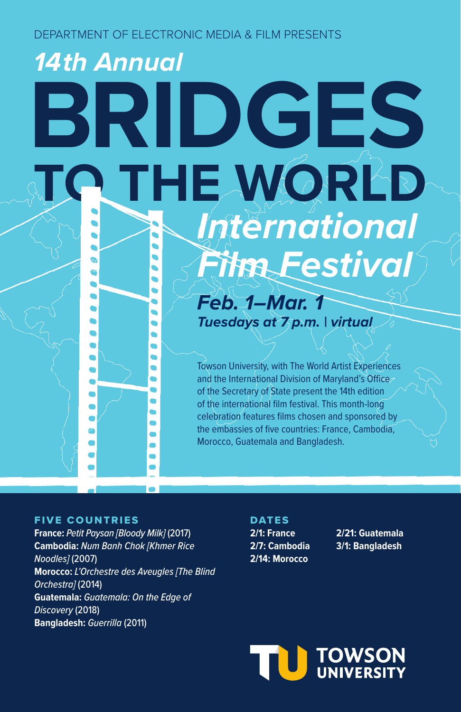DEPARTMENT OF ELECTRONIC MEDIA & FILM PRESENTS

# **BRIDGES THE WORLD** *14th Annual International Film Festival Feb. 1–Mar. 1 Tuesdays at 7 p.m. | virtual*

Towson University, with The World Artist Experiences and the International Division of Maryland's Office of the Secretary of State present the 14th edition of the international film festival. This month-long celebration features films chosen and sponsored by the embassies of five countries: France, Cambodia,

## FIVE COUNTRIES

**France:** *Petit Paysan [Bloody Milk]* (2017) **Cambodia:** *Num Banh Chok [Khmer Rice Noodles]* (2007) **Morocco:** *L'Orchestre des Aveugles [The Blind Orchestra]* (2014) **Guatemala:** *Guatemala: On the Edge of Discovery* (2018) **Bangladesh:** *Guerrilla* (2011)

#### DATES

Morocco, Guatemala and Bangladesh.

**2/1: France 2/21: Guatemala 2/14: Morocco**

**2/7: Cambodia 3/1: Bangladesh**

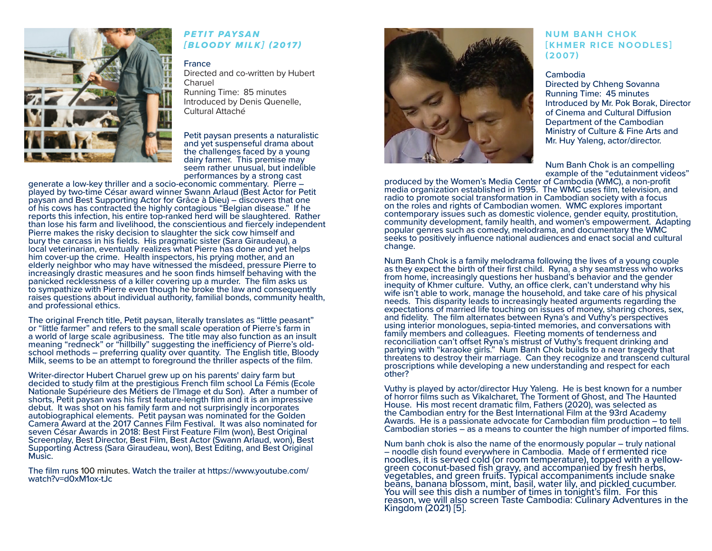

# **PETIT PAYSAN** *[BLOODY MILK] (2017)*

#### France

Directed and co-written by Hubert Charuel Running Time: 85 minutes Introduced by Denis Quenelle, Cultural Attaché

Petit paysan presents a naturalistic and yet suspenseful drama about the challenges faced by a young dairy farmer. This premise may seem rather unusual, but indelible performances by a strong cast

generate a low-key thriller and a socio-economic commentary. Pierre – played by two-time César award winner Swann Arlaud (Best Actor for Petit paysan and Best Supporting Actor for Grâce à Dieu) – discovers that one of his cows has contracted the highly contagious "Belgian disease." If he reports this infection, his entire top-ranked herd will be slaughtered. Rather than lose his farm and livelihood, the conscientious and fiercely independent Pierre makes the risky decision to slaughter the sick cow himself and bury the carcass in his fields. His pragmatic sister (Sara Giraudeau), a local veterinarian, eventually realizes what Pierre has done and yet helps him cover-up the crime. Health inspectors, his prying mother, and an elderly neighbor who may have witnessed the misdeed, pressure Pierre to increasingly drastic measures and he soon finds himself behaving with the panicked recklessness of a killer covering up a murder. The film asks us to sympathize with Pierre even though he broke the law and consequently raises questions about individual authority, familial bonds, community health, and professional ethics.

The original French title, Petit paysan, literally translates as "little peasant" or "little farmer" and refers to the small scale operation of Pierre's farm in a world of large scale agribusiness. The title may also function as an insult meaning "redneck" or "hillbilly" suggesting the inefficiency of Pierre's oldschool methods – preferring quality over quantity. The English title, Bloody Milk, seems to be an attempt to foreground the thriller aspects of the film.

Writer-director Hubert Charuel grew up on his parents' dairy farm but decided to study film at the prestigious French film school La Fémis (Ecole Nationale Supérieure des Métiers de l'Image et du Son). After a number of shorts, Petit paysan was his first feature-length film and it is an impressive debut. It was shot on his family farm and not surprisingly incorporates autobiographical elements. Petit paysan was nominated for the Golden Camera Award at the 2017 Cannes Film Festival. It was also nominated for seven César Awards in 2018: Best First Feature Film (won), Best Original Screenplay, Best Director, Best Film, Best Actor (Swann Arlaud, won), Best Supporting Actress (Sara Giraudeau, won), Best Editing, and Best Original Music.

The film runs 100 minutes. Watch the trailer at https://www.youtube.com/ watch?v=d0xM1ox-tJc



# **NUM BANH CHOK [KHMER RICE NOODLES] (2007)**

## Cambodia

Directed by Chheng Sovanna Running Time: 45 minutes Introduced by Mr. Pok Borak, Director of Cinema and Cultural Diffusion Department of the Cambodian Ministry of Culture & Fine Arts and Mr. Huy Yaleng, actor/director.

Num Banh Chok is an compelling example of the "edutainment videos"

produced by the Women's Media Center of Cambodia (WMC), a non-profit media organization established in 1995. The WMC uses film, television, and radio to promote social transformation in Cambodian society with a focus on the roles and rights of Cambodian women. WMC explores important contemporary issues such as domestic violence, gender equity, prostitution, community development, family health, and women's empowerment. Adapting popular genres such as comedy, melodrama, and documentary the WMC seeks to positively influence national audiences and enact social and cultural change.

Num Banh Chok is a family melodrama following the lives of a young couple as they expect the birth of their first child. Ryna, a shy seamstress who works from home, increasingly questions her husband's behavior and the gender inequity of Khmer culture. Vuthy, an office clerk, can't understand why his wife isn't able to work, manage the household, and take care of his physical needs. This disparity leads to increasingly heated arguments regarding the expectations of married life touching on issues of money, sharing chores, sex, and fidelity. The film alternates between Ryna's and Vuthy's perspectives using interior monologues, sepia-tinted memories, and conversations with family members and colleagues. Fleeting moments of tenderness and reconciliation can't offset Ryna's mistrust of Vuthy's frequent drinking and partying with "karaoke girls." Num Banh Chok builds to a near tragedy that threatens to destroy their marriage. Can they recognize and transcend cultural proscriptions while developing a new understanding and respect for each other?

Vuthy is played by actor/director Huy Yaleng. He is best known for a number of horror films such as Vikalcharet, The Torment of Ghost, and The Haunted House. His most recent dramatic film, Fathers (2020), was selected as the Cambodian entry for the Best International Film at the 93rd Academy Awards. He is a passionate advocate for Cambodian film production – to tell Cambodian stories – as a means to counter the high number of imported films.

Num banh chok is also the name of the enormously popular – truly national – noodle dish found everywhere in Cambodia. Made of f ermented rice noodles, it is served cold (or room temperature), topped with a yellowgreen coconut-based fish gravy, and accompanied by fresh herbs, vegetables, and green fruits. Typical accompaniments include snake beans, banana blossom, mint, basil, water lily, and pickled cucumber. You will see this dish a number of times in tonight's film. For this reason, we will also screen Taste Cambodia: Culinary Adventures in the Kingdom (2021) [5].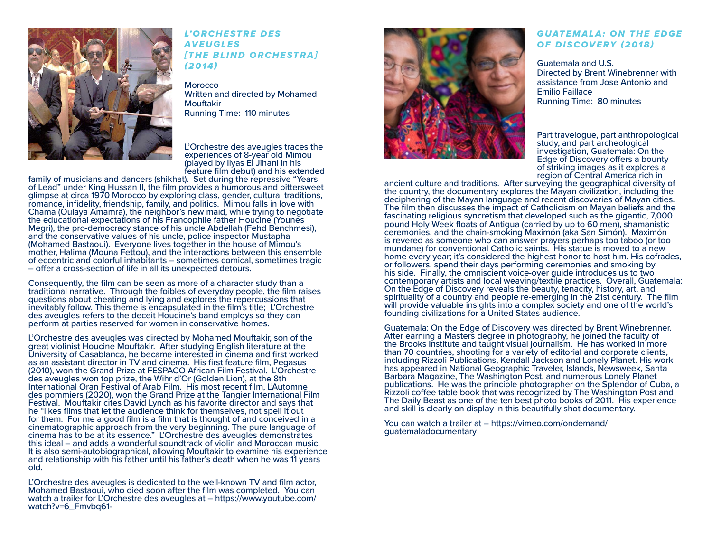

# *L' O R C H E ST R E D E S AV E U G L E S*  **THE BLIND ORCHESTRAT** *(2014)*

**Morocco** Written and directed by Mohamed **Mouftakir** Running Time: 110 minutes

L'Orchestre des aveugles traces the experiences of 8-year old Mimou (played by Ilyas El Jihani in his feature film debut) and his extended

family of musicians and dancers (shikhat). Set during the repressive "Years of Lead" under King Hussan II, the film provides a humorous and bittersweet glimpse at circa 1970 Morocco by exploring class, gender, cultural traditions, romance, infidelity, friendship, family, and politics. Mimou falls in love with Chama (Oulaya Amamra), the neighbor's new maid, while trying to negotiate the educational expectations of his Francophile father Houcine (Younes Megri), the pro-democracy stance of his uncle Abdellah (Fehd Benchmesi), and the conservative values of his uncle, police inspector Mustapha (Mohamed Bastaoui). Everyone lives together in the house of Mimou's mother, Halima (Mouna Fettou), and the interactions between this ensemble of eccentric and colorful inhabitants – sometimes comical, sometimes tragic – offer a cross-section of life in all its unexpected detours.

Consequently, the film can be seen as more of a character study than a traditional narrative. Through the foibles of everyday people, the film raises questions about cheating and lying and explores the repercussions that inevitably follow. This theme is encapsulated in the film's title; L'Orchestre des aveugles refers to the deceit Houcine's band employs so they can perform at parties reserved for women in conservative homes.

L'Orchestre des aveugles was directed by Mohamed Mouftakir, son of the great violinist Houcine Mouftakir. After studying English literature at the University of Casablanca, he became interested in cinema and first worked as an assistant director in TV and cinema. His first feature film, Pegasus (2010), won the Grand Prize at FESPACO African Film Festival. L'Orchestre des aveugles won top prize, the Wihr d'Or (Golden Lion), at the 8th International Oran Festival of Arab Film. His most recent film, L'Automne des pommiers (2020), won the Grand Prize at the Tangier International Film Festival. Mouftakir cites David Lynch as his favorite director and says that he "likes films that let the audience think for themselves, not spell it out for them. For me a good film is a film that is thought of and conceived in a cinematographic approach from the very beginning. The pure language of cinema has to be at its essence." L'Orchestre des aveugles demonstrates this ideal – and adds a wonderful soundtrack of violin and Moroccan music. It is also semi-autobiographical, allowing Mouftakir to examine his experience and relationship with his father until his father's death when he was 11 years old.

L'Orchestre des aveugles is dedicated to the well-known TV and film actor, Mohamed Bastaoui, who died soon after the film was completed. You can watch a trailer for L'Orchestre des aveugles at – https://www.youtube.com/ watch?v=6\_Fmvbq61-



# **GUATEMALA: ON THE EDGE** *OF DISCOVERY (2018)*

Guatemala and U.S. Directed by Brent Winebrenner with assistance from Jose Antonio and Emilio Faillace Running Time: 80 minutes

Part travelogue, part anthropological study, and part archeological investigation, Guatemala: On the Edge of Discovery offers a bounty of striking images as it explores a region of Central America rich in

ancient culture and traditions. After surveying the geographical diversity of the country, the documentary explores the Mayan civilization, including the deciphering of the Mayan language and recent discoveries of Mayan cities. The film then discusses the impact of Catholicism on Mayan beliefs and the fascinating religious syncretism that developed such as the gigantic, 7,000 pound Holy Week floats of Antigua (carried by up to 60 men), shamanistic ceremonies, and the chain-smoking Maximón (aka San Simón). Maximón is revered as someone who can answer prayers perhaps too taboo (or too mundane) for conventional Catholic saints. His statue is moved to a new home every year; it's considered the highest honor to host him. His cofrades, or followers, spend their days performing ceremonies and smoking by his side. Finally, the omniscient voice-over guide introduces us to two contemporary artists and local weaving/textile practices. Overall, Guatemala: On the Edge of Discovery reveals the beauty, tenacity, history, art, and spirituality of a country and people re-emerging in the 21st century. The film will provide valuable insights into a complex society and one of the world's founding civilizations for a United States audience.

Guatemala: On the Edge of Discovery was directed by Brent Winebrenner. After earning a Masters degree in photography, he joined the faculty of the Brooks Institute and taught visual journalism. He has worked in more than 70 countries, shooting for a variety of editorial and corporate clients, including Rizzoli Publications, Kendall Jackson and Lonely Planet. His work has appeared in National Geographic Traveler, Islands, Newsweek, Santa Barbara Magazine, The Washington Post, and numerous Lonely Planet publications. He was the principle photographer on the Splendor of Cuba, a Rizzoli coffee table book that was recognized by The Washington Post and The Daily Beast as one of the ten best photo books of 2011. His experience and skill is clearly on display in this beautifully shot documentary.

You can watch a trailer at – https://vimeo.com/ondemand/ guatemaladocumentary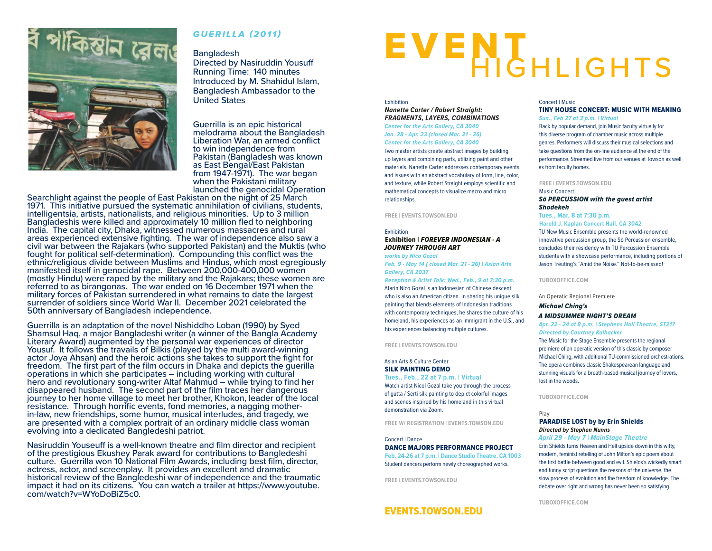

# *GUERILLA (2011)*

#### **Bangladesh**

Directed by Nasiruddin Yousuff Running Time: 140 minutes Introduced by M. Shahidul Islam, Bangladesh Ambassador to the United States

Guerrilla is an epic historical melodrama about the Bangladesh Liberation War, an armed conflict to win independence from Pakistan (Bangladesh was known as East Bengal/East Pakistan from 1947-1971). The war began when the Pakistani military launched the genocidal Operation

Searchlight against the people of East Pakistan on the night of 25 March 1971. This initiative pursued the systematic annihilation of civilians, students, intelligentsia, artists, nationalists, and religious minorities. Up to 3 million Bangladeshis were killed and approximately 10 million fled to neighboring India. The capital city, Dhaka, witnessed numerous massacres and rural areas experienced extensive fighting. The war of independence also saw a civil war between the Rajakars (who supported Pakistan) and the Muktis (who fought for political self-determination). Compounding this conflict was the ethnic/religious divide between Muslims and Hindus, which most egregiously manifested itself in genocidal rape. Between 200,000-400,000 women (mostly Hindu) were raped by the military and the Rajakars; these women are referred to as birangonas. The war ended on 16 December 1971 when the military forces of Pakistan surrendered in what remains to date the largest surrender of soldiers since World War II. December 2021 celebrated the 50th anniversary of Bangladesh independence.

Guerrilla is an adaptation of the novel Nishiddho Loban (1990) by Syed Shamsul Haq, a major Bangladeshi writer (a winner of the Bangla Academy Literary Award) augmented by the personal war experiences of director Yousuf. It follows the travails of Bilkis (played by the multi award-winning actor Joya Ahsan) and the heroic actions she takes to support the fight for freedom. The first part of the film occurs in Dhaka and depicts the guerilla operations in which she participates – including working with cultural hero and revolutionary song-writer Altaf Mahmud – while trying to find her disappeared husband. The second part of the film traces her dangerous journey to her home village to meet her brother, Khokon, leader of the local resistance. Through horrific events, fond memories, a nagging motherin-law, new friendships, some humor, musical interludes, and tragedy, we are presented with a complex portrait of an ordinary middle class woman evolving into a dedicated Bangledeshi patriot.

Nasiruddin Youseuff is a well-known theatre and film director and recipient of the prestigious Ekushey Parak award for contributions to Bangledeshi culture. Guerrilla won 10 National Film Awards, including best film, director, actress, actor, and screenplay. It provides an excellent and dramatic historical review of the Bangledeshi war of independence and the traumatic impact it had on its citizens. You can watch a trailer at https://www.youtube. com/watch?v=WYoDoBiZ5c0.

# EVENT HUGHTS

#### Exhibition

#### *Nanette Carter / Robert Straight: FRAGMENTS, LAYERS, COMBINATIONS Center for the Arts Gallery, CA 3040*

*Jan. 28 - Apr. 23 (closed Mar. 21 - 26) Center for the Arts Gallery, CA 3040*  Two master artists create abstract images by building

up layers and combining parts, utilizing paint and other materials. Nanette Carter addresses contemporary events and issues with an abstract vocabulary of form, line, color, and texture, while Robert Straight employs scientific and mathematical concepts to visualize macro and micro relationships.

**FREE | EVENTS.TOWSON.EDU**

# Exhibition

#### Exhibition | *FOREVER INDONESIAN - A JOURNEY THROUGH ART*

*works by Nico Gozal Feb. 9 - May 14 ( closed Mar. 21 - 26) | Asian Arts Gallery, CA 2037*

*Reception & Artist Talk: Wed., Feb., 9 at 7:30 p.m.* Afarin Nico Gozal is an Indonesian of Chinese descent who is also an American citizen. In sharing his unique silk painting that blends elements of Indonesian traditions with contemporary techniques, he shares the culture of his homeland, his experiences as an immigrant in the U.S., and his experiences balancing multiple cultures.

**FREE | EVENTS.TOWSON.EDU**

#### Asian Arts & Culture Center SILK PAINTING DEMO

**Tues., Feb., 22 at 7 p.m. | Virtual** Watch artist Nicol Gozal take you through the process of gutta / Serti silk painting to depict colorful images and scenes inspired by his homeland in this virtual demonstration via Zoom.

**FREE W/ REGISTRATION | EVENTS.TOWSON.EDU**

#### Concert | Dance DANCE MAJORS PERFORMANCE PROJECT **Feb. 24-26 at 7 p.m. | Dance Studio Theatre, CA 1003**  Student dancers perform newly choreographed works.

**FREE | EVENTS.TOWSON.EDU** 

# EVENTS.TOWSON.EDU

#### Concert | Music TINY HOUSE CONCERT: MUSIC WITH MEANING

*Sun., Feb 27 at 3 p.m. | Virtual* 

Back by popular demand, join Music faculty virtually for this diverse program of chamber music across multiple genres. Performers will discuss their musical selections and take questions from the on-line audience at the end of the performance. Streamed live from our venues at Towson as well as from faculty homes.

**FREE | EVENTS.TOWSON.EDU** 

#### Music Concert *Sō PERCUSSION with the guest artist Shodekeh*

**Tues., Mar. 8 at 7:30 p.m.**

**Harold J. Kaplan Concert Hall, CA 3042** TU New Music Ensemble presents the world-renowned innovative percussion group, the Sō Percussion ensemble, concludes their residency with TU Percussion Ensemble students with a showcase performance, including portions of Jason Treuting's "Amid the Noise." Not-to-be-missed!

**TUBOXOFFICE.COM** 

An Operatic Regional Premiere

# *Michael Ching's*

#### *A MIDSUMMER NIGHT'S DREAM*

*Apr. 22 - 24 at 8 p.m. | Stephens Hall Theatre, ST217 Directed by Courtney Kalbacker*

The Music for the Stage Ensemble presents the regional premiere of an operatic version of this classic by composer Michael Ching, with additional TU-commissioned orchestrations. The opera combines classic Shakespearean language and stunning visuals for a breath-based musical journey of lovers, lost in the woods.

**TUBOXOFFICE.COM**

#### Play PARADISE LOST by by Erin Shields *Directed by Stephen Nunns*

*April 29 - May 7 | MainStage Theatre* Erin Shields turns Heaven and Hell upside down in this witty, modern, feminist retelling of John Milton's epic poem about the first battle between good and evil. Shields's wickedly smart and funny script questions the reasons of the universe, the slow process of evolution and the freedom of knowledge. The debate over right and wrong has never been so satisfying.

**TUBOXOFFICE.COM**